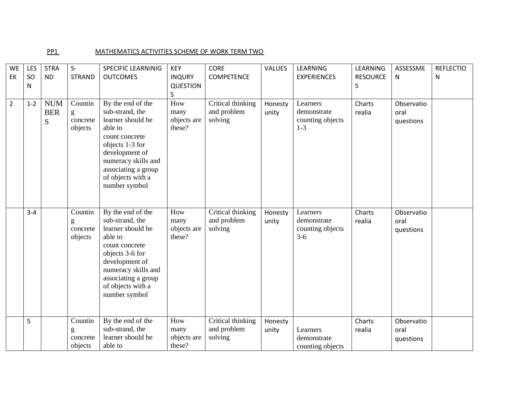## PP1 MATHEMATICS ACTIVITIES SCHEME OF WORK TERM TWO

| <b>WE</b><br>EK | LES<br>SO<br>N | <b>STRA</b><br><b>ND</b>      | $S-$<br><b>STRAND</b>                       | <b>SPECIFIC LEARNINIG</b><br><b>OUTCOMES</b>                                                                                                                                                                    | <b>KEY</b><br><b>INQURY</b><br><b>QUESTION</b><br>$\sf S$ | <b>CORE</b><br><b>COMPETENCE</b>            | <b>VALUES</b>    | <b>LEARNING</b><br><b>EXPERIENCES</b>                  | LEARNING<br><b>RESOURCE</b><br>S | ASSESSME<br>N                   | <b>REFLECTIO</b><br>N |
|-----------------|----------------|-------------------------------|---------------------------------------------|-----------------------------------------------------------------------------------------------------------------------------------------------------------------------------------------------------------------|-----------------------------------------------------------|---------------------------------------------|------------------|--------------------------------------------------------|----------------------------------|---------------------------------|-----------------------|
| $\overline{2}$  | $1 - 2$        | <b>NUM</b><br><b>BER</b><br>S | Countin<br>${\bf g}$<br>concrete<br>objects | By the end of the<br>sub-strand, the<br>learner should be<br>able to<br>count concrete<br>objects 1-3 for<br>development of<br>numeracy skills and<br>associating a group<br>of objects with a<br>number symbol | How<br>many<br>objects are<br>these?                      | Critical thinking<br>and problem<br>solving | Honesty<br>unity | Learners<br>demonstrate<br>counting objects<br>$1-3$   | Charts<br>realia                 | Observatio<br>oral<br>questions |                       |
|                 | $3 - 4$        |                               | Countin<br>g<br>concrete<br>objects         | By the end of the<br>sub-strand, the<br>learner should be<br>able to<br>count concrete<br>objects 3-6 for<br>development of<br>numeracy skills and<br>associating a group<br>of objects with a<br>number symbol | How<br>many<br>objects are<br>these?                      | Critical thinking<br>and problem<br>solving | Honesty<br>unity | Learners<br>demonstrate<br>counting objects<br>$3 - 6$ | Charts<br>realia                 | Observatio<br>oral<br>questions |                       |
|                 | 5              |                               | Countin<br>g<br>concrete<br>objects         | By the end of the<br>sub-strand, the<br>learner should be<br>able to                                                                                                                                            | How<br>many<br>objects are<br>these?                      | Critical thinking<br>and problem<br>solving | Honesty<br>unity | Learners<br>demonstrate<br>counting objects            | Charts<br>realia                 | Observatio<br>oral<br>questions |                       |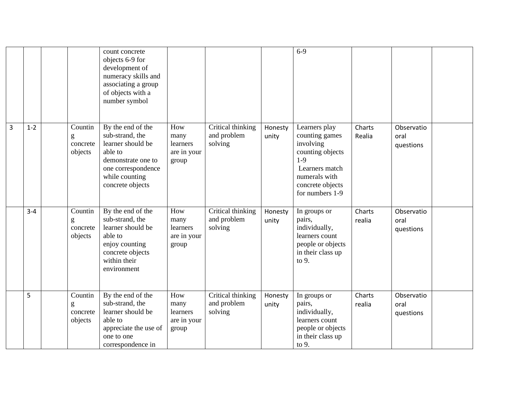|   |         |                                     | count concrete<br>objects 6-9 for<br>development of<br>numeracy skills and<br>associating a group<br>of objects with a<br>number symbol                |                                                 |                                             |                  | $6-9$                                                                                                                                               |                  |                                 |  |
|---|---------|-------------------------------------|--------------------------------------------------------------------------------------------------------------------------------------------------------|-------------------------------------------------|---------------------------------------------|------------------|-----------------------------------------------------------------------------------------------------------------------------------------------------|------------------|---------------------------------|--|
| 3 | $1 - 2$ | Countin<br>g<br>concrete<br>objects | By the end of the<br>sub-strand, the<br>learner should be<br>able to<br>demonstrate one to<br>one correspondence<br>while counting<br>concrete objects | How<br>many<br>learners<br>are in your<br>group | Critical thinking<br>and problem<br>solving | Honesty<br>unity | Learners play<br>counting games<br>involving<br>counting objects<br>$1-9$<br>Learners match<br>numerals with<br>concrete objects<br>for numbers 1-9 | Charts<br>Realia | Observatio<br>oral<br>questions |  |
|   | $3 - 4$ | Countin<br>g<br>concrete<br>objects | By the end of the<br>sub-strand, the<br>learner should be<br>able to<br>enjoy counting<br>concrete objects<br>within their<br>environment              | How<br>many<br>learners<br>are in your<br>group | Critical thinking<br>and problem<br>solving | Honesty<br>unity | In groups or<br>pairs,<br>individually,<br>learners count<br>people or objects<br>in their class up<br>to 9.                                        | Charts<br>realia | Observatio<br>oral<br>questions |  |
|   | 5       | Countin<br>g<br>concrete<br>objects | By the end of the<br>sub-strand, the<br>learner should be<br>able to<br>appreciate the use of<br>one to one<br>correspondence in                       | How<br>many<br>learners<br>are in your<br>group | Critical thinking<br>and problem<br>solving | Honesty<br>unity | In groups or<br>pairs,<br>individually,<br>learners count<br>people or objects<br>in their class up<br>to 9.                                        | Charts<br>realia | Observatio<br>oral<br>questions |  |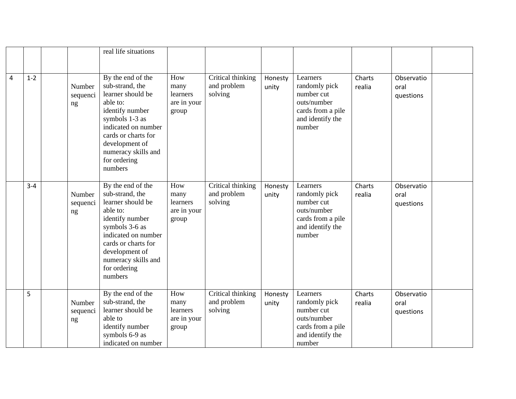|                |         |                          | real life situations                                                                                                                                                                                                         |                                                        |                                             |                  |                                                                                                           |                  |                                 |  |
|----------------|---------|--------------------------|------------------------------------------------------------------------------------------------------------------------------------------------------------------------------------------------------------------------------|--------------------------------------------------------|---------------------------------------------|------------------|-----------------------------------------------------------------------------------------------------------|------------------|---------------------------------|--|
| $\overline{4}$ | $1 - 2$ | Number<br>sequenci<br>ng | By the end of the<br>sub-strand, the<br>learner should be<br>able to:<br>identify number<br>symbols 1-3 as<br>indicated on number<br>cards or charts for<br>development of<br>numeracy skills and<br>for ordering<br>numbers | How<br>many<br>learners<br>are in your<br>group        | Critical thinking<br>and problem<br>solving | Honesty<br>unity | Learners<br>randomly pick<br>number cut<br>outs/number<br>cards from a pile<br>and identify the<br>number | Charts<br>realia | Observatio<br>oral<br>questions |  |
|                | $3 - 4$ | Number<br>sequenci<br>ng | By the end of the<br>sub-strand, the<br>learner should be<br>able to:<br>identify number<br>symbols 3-6 as<br>indicated on number<br>cards or charts for<br>development of<br>numeracy skills and<br>for ordering<br>numbers | How<br>many<br>learners<br>are in your<br>group        | Critical thinking<br>and problem<br>solving | Honesty<br>unity | Learners<br>randomly pick<br>number cut<br>outs/number<br>cards from a pile<br>and identify the<br>number | Charts<br>realia | Observatio<br>oral<br>questions |  |
|                | 5       | Number<br>sequenci<br>ng | By the end of the<br>sub-strand, the<br>learner should be<br>able to<br>identify number<br>symbols 6-9 as<br>indicated on number                                                                                             | How<br>many<br><i>learners</i><br>are in your<br>group | Critical thinking<br>and problem<br>solving | Honesty<br>unity | Learners<br>randomly pick<br>number cut<br>outs/number<br>cards from a pile<br>and identify the<br>number | Charts<br>realia | Observatio<br>oral<br>questions |  |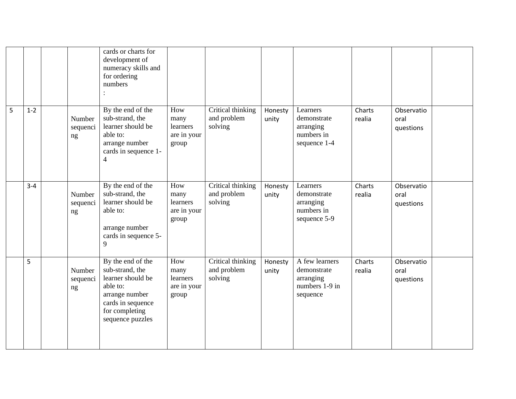|   |         |                          | cards or charts for<br>development of<br>numeracy skills and<br>for ordering<br>numbers<br>$\vdots$                                                |                                                 |                                             |                  |                                                                          |                  |                                 |  |
|---|---------|--------------------------|----------------------------------------------------------------------------------------------------------------------------------------------------|-------------------------------------------------|---------------------------------------------|------------------|--------------------------------------------------------------------------|------------------|---------------------------------|--|
| 5 | $1 - 2$ | Number<br>sequenci<br>ng | By the end of the<br>sub-strand, the<br>learner should be<br>able to:<br>arrange number<br>cards in sequence 1-<br>$\overline{4}$                  | How<br>many<br>learners<br>are in your<br>group | Critical thinking<br>and problem<br>solving | Honesty<br>unity | Learners<br>demonstrate<br>arranging<br>numbers in<br>sequence 1-4       | Charts<br>realia | Observatio<br>oral<br>questions |  |
|   | $3 - 4$ | Number<br>sequenci<br>ng | By the end of the<br>sub-strand, the<br>learner should be<br>able to:<br>arrange number<br>cards in sequence 5-<br>9                               | How<br>many<br>learners<br>are in your<br>group | Critical thinking<br>and problem<br>solving | Honesty<br>unity | Learners<br>demonstrate<br>arranging<br>numbers in<br>sequence 5-9       | Charts<br>realia | Observatio<br>oral<br>questions |  |
|   | 5       | Number<br>sequenci<br>ng | By the end of the<br>sub-strand, the<br>learner should be<br>able to:<br>arrange number<br>cards in sequence<br>for completing<br>sequence puzzles | How<br>many<br>learners<br>are in your<br>group | Critical thinking<br>and problem<br>solving | Honesty<br>unity | A few learners<br>demonstrate<br>arranging<br>numbers 1-9 in<br>sequence | Charts<br>realia | Observatio<br>oral<br>questions |  |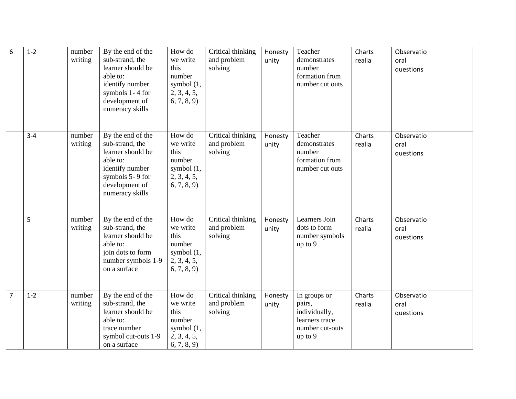| $6\phantom{1}6$ | $1 - 2$ | number<br>writing | By the end of the<br>sub-strand, the<br>learner should be<br>able to:<br>identify number<br>symbols 1-4 for<br>development of<br>numeracy skills | How do<br>we write<br>this<br>number<br>symbol $(1,$<br>2, 3, 4, 5,<br>(6, 7, 8, 9) | Critical thinking<br>and problem<br>solving | Honesty<br>unity | Teacher<br>demonstrates<br>number<br>formation from<br>number cut outs                  | Charts<br>realia | Observatio<br>oral<br>questions |  |
|-----------------|---------|-------------------|--------------------------------------------------------------------------------------------------------------------------------------------------|-------------------------------------------------------------------------------------|---------------------------------------------|------------------|-----------------------------------------------------------------------------------------|------------------|---------------------------------|--|
|                 | $3 - 4$ | number<br>writing | By the end of the<br>sub-strand, the<br>learner should be<br>able to:<br>identify number<br>symbols 5-9 for<br>development of<br>numeracy skills | How do<br>we write<br>this<br>number<br>symbol $(1,$<br>2, 3, 4, 5,<br>(6, 7, 8, 9) | Critical thinking<br>and problem<br>solving | Honesty<br>unity | Teacher<br>demonstrates<br>number<br>formation from<br>number cut outs                  | Charts<br>realia | Observatio<br>oral<br>questions |  |
|                 | 5       | number<br>writing | By the end of the<br>sub-strand, the<br>learner should be<br>able to:<br>join dots to form<br>number symbols 1-9<br>on a surface                 | How do<br>we write<br>this<br>number<br>symbol $(1,$<br>2, 3, 4, 5,<br>(6, 7, 8, 9) | Critical thinking<br>and problem<br>solving | Honesty<br>unity | Learners Join<br>dots to form<br>number symbols<br>up to 9                              | Charts<br>realia | Observatio<br>oral<br>questions |  |
| $\overline{7}$  | $1 - 2$ | number<br>writing | By the end of the<br>sub-strand, the<br>learner should be<br>able to:<br>trace number<br>symbol cut-outs 1-9<br>on a surface                     | How do<br>we write<br>this<br>number<br>symbol $(1,$<br>2, 3, 4, 5,<br>6, 7, 8, 9   | Critical thinking<br>and problem<br>solving | Honesty<br>unity | In groups or<br>pairs,<br>individually,<br>learners trace<br>number cut-outs<br>up to 9 | Charts<br>realia | Observatio<br>oral<br>questions |  |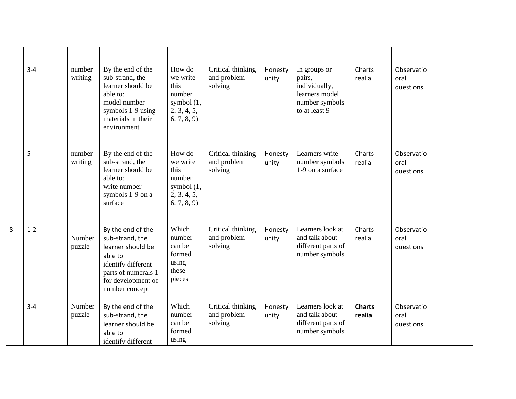|   | $3 - 4$ | number<br>writing | By the end of the<br>sub-strand, the<br>learner should be<br>able to:<br>model number<br>symbols 1-9 using<br>materials in their<br>environment            | How do<br>we write<br>this<br>number<br>symbol $(1,$<br>2, 3, 4, 5,<br>(6, 7, 8, 9) | Critical thinking<br>and problem<br>solving | Honesty<br>unity | In groups or<br>pairs,<br>individually,<br>learners model<br>number symbols<br>to at least 9 | Charts<br>realia        | Observatio<br>oral<br>questions |  |
|---|---------|-------------------|------------------------------------------------------------------------------------------------------------------------------------------------------------|-------------------------------------------------------------------------------------|---------------------------------------------|------------------|----------------------------------------------------------------------------------------------|-------------------------|---------------------------------|--|
|   | 5       | number<br>writing | By the end of the<br>sub-strand, the<br>learner should be<br>able to:<br>write number<br>symbols 1-9 on a<br>surface                                       | How do<br>we write<br>this<br>number<br>symbol $(1,$<br>2, 3, 4, 5,<br>(6, 7, 8, 9) | Critical thinking<br>and problem<br>solving | Honesty<br>unity | Learners write<br>number symbols<br>1-9 on a surface                                         | Charts<br>realia        | Observatio<br>oral<br>questions |  |
| 8 | $1 - 2$ | Number<br>puzzle  | By the end of the<br>sub-strand, the<br>learner should be<br>able to<br>identify different<br>parts of numerals 1-<br>for development of<br>number concept | Which<br>number<br>can be<br>formed<br>using<br>these<br>pieces                     | Critical thinking<br>and problem<br>solving | Honesty<br>unity | Learners look at<br>and talk about<br>different parts of<br>number symbols                   | Charts<br>realia        | Observatio<br>oral<br>questions |  |
|   | $3 - 4$ | Number<br>puzzle  | By the end of the<br>sub-strand, the<br>learner should be<br>able to<br>identify different                                                                 | Which<br>number<br>can be<br>formed<br>using                                        | Critical thinking<br>and problem<br>solving | Honesty<br>unity | Learners look at<br>and talk about<br>different parts of<br>number symbols                   | <b>Charts</b><br>realia | Observatio<br>oral<br>questions |  |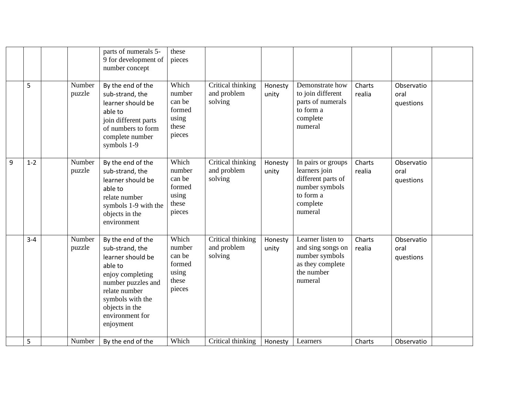|   |         |                  | parts of numerals 5-<br>9 for development of<br>number concept                                                                                                                                        | these<br>pieces                                                 |                                             |                  |                                                                                                                 |                  |                                 |  |
|---|---------|------------------|-------------------------------------------------------------------------------------------------------------------------------------------------------------------------------------------------------|-----------------------------------------------------------------|---------------------------------------------|------------------|-----------------------------------------------------------------------------------------------------------------|------------------|---------------------------------|--|
|   | 5       | Number<br>puzzle | By the end of the<br>sub-strand, the<br>learner should be<br>able to<br>join different parts<br>of numbers to form<br>complete number<br>symbols 1-9                                                  | Which<br>number<br>can be<br>formed<br>using<br>these<br>pieces | Critical thinking<br>and problem<br>solving | Honesty<br>unity | Demonstrate how<br>to join different<br>parts of numerals<br>to form a<br>complete<br>numeral                   | Charts<br>realia | Observatio<br>oral<br>questions |  |
| 9 | $1 - 2$ | Number<br>puzzle | By the end of the<br>sub-strand, the<br>learner should be<br>able to<br>relate number<br>symbols 1-9 with the<br>objects in the<br>environment                                                        | Which<br>number<br>can be<br>formed<br>using<br>these<br>pieces | Critical thinking<br>and problem<br>solving | Honesty<br>unity | In pairs or groups<br>learners join<br>different parts of<br>number symbols<br>to form a<br>complete<br>numeral | Charts<br>realia | Observatio<br>oral<br>questions |  |
|   | $3 - 4$ | Number<br>puzzle | By the end of the<br>sub-strand, the<br>learner should be<br>able to<br>enjoy completing<br>number puzzles and<br>relate number<br>symbols with the<br>objects in the<br>environment for<br>enjoyment | Which<br>number<br>can be<br>formed<br>using<br>these<br>pieces | Critical thinking<br>and problem<br>solving | Honesty<br>unity | Learner listen to<br>and sing songs on<br>number symbols<br>as they complete<br>the number<br>numeral           | Charts<br>realia | Observatio<br>oral<br>questions |  |
|   | 5       | Number           | By the end of the                                                                                                                                                                                     | Which                                                           | Critical thinking                           | Honesty          | Learners                                                                                                        | Charts           | Observatio                      |  |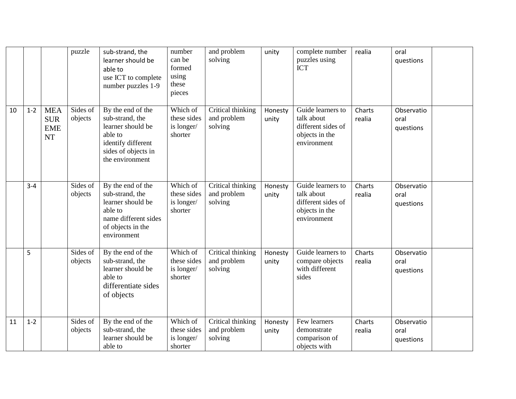|    |         |                                                     | puzzle              | sub-strand, the<br>learner should be<br>able to<br>use ICT to complete<br>number puzzles 1-9                                         | number<br>can be<br>formed<br>using<br>these<br>pieces | and problem<br>solving                      | unity            | complete number<br>puzzles using<br><b>ICT</b>                                         | realia           | oral<br>questions               |  |
|----|---------|-----------------------------------------------------|---------------------|--------------------------------------------------------------------------------------------------------------------------------------|--------------------------------------------------------|---------------------------------------------|------------------|----------------------------------------------------------------------------------------|------------------|---------------------------------|--|
| 10 | $1 - 2$ | <b>MEA</b><br><b>SUR</b><br><b>EME</b><br><b>NT</b> | Sides of<br>objects | By the end of the<br>sub-strand, the<br>learner should be<br>able to<br>identify different<br>sides of objects in<br>the environment | Which of<br>these sides<br>is longer/<br>shorter       | Critical thinking<br>and problem<br>solving | Honesty<br>unity | Guide learners to<br>talk about<br>different sides of<br>objects in the<br>environment | Charts<br>realia | Observatio<br>oral<br>questions |  |
|    | $3 - 4$ |                                                     | Sides of<br>objects | By the end of the<br>sub-strand, the<br>learner should be<br>able to<br>name different sides<br>of objects in the<br>environment     | Which of<br>these sides<br>is longer/<br>shorter       | Critical thinking<br>and problem<br>solving | Honesty<br>unity | Guide learners to<br>talk about<br>different sides of<br>objects in the<br>environment | Charts<br>realia | Observatio<br>oral<br>questions |  |
|    | 5       |                                                     | Sides of<br>objects | By the end of the<br>sub-strand, the<br>learner should be<br>able to<br>differentiate sides<br>of objects                            | Which of<br>these sides<br>is longer/<br>shorter       | Critical thinking<br>and problem<br>solving | Honesty<br>unity | Guide learners to<br>compare objects<br>with different<br>sides                        | Charts<br>realia | Observatio<br>oral<br>questions |  |
| 11 | $1 - 2$ |                                                     | Sides of<br>objects | By the end of the<br>sub-strand, the<br>learner should be<br>able to                                                                 | Which of<br>these sides<br>is longer/<br>shorter       | Critical thinking<br>and problem<br>solving | Honesty<br>unity | Few learners<br>demonstrate<br>comparison of<br>objects with                           | Charts<br>realia | Observatio<br>oral<br>questions |  |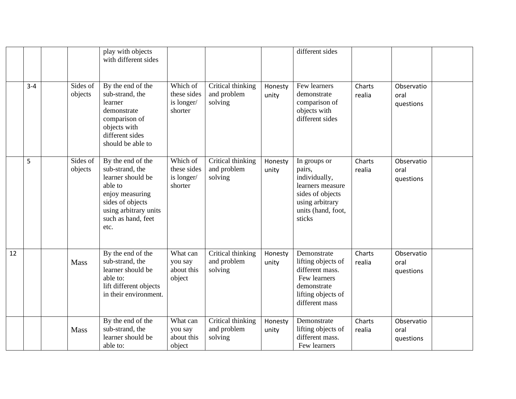|    |         |                     | play with objects<br>with different sides                                                                                                                          |                                                  |                                             |                  | different sides                                                                                                                    |                  |                                 |  |
|----|---------|---------------------|--------------------------------------------------------------------------------------------------------------------------------------------------------------------|--------------------------------------------------|---------------------------------------------|------------------|------------------------------------------------------------------------------------------------------------------------------------|------------------|---------------------------------|--|
|    | $3 - 4$ | Sides of<br>objects | By the end of the<br>sub-strand, the<br>learner<br>demonstrate<br>comparison of<br>objects with<br>different sides<br>should be able to                            | Which of<br>these sides<br>is longer/<br>shorter | Critical thinking<br>and problem<br>solving | Honesty<br>unity | Few learners<br>demonstrate<br>comparison of<br>objects with<br>different sides                                                    | Charts<br>realia | Observatio<br>oral<br>questions |  |
|    | 5       | Sides of<br>objects | By the end of the<br>sub-strand, the<br>learner should be<br>able to<br>enjoy measuring<br>sides of objects<br>using arbitrary units<br>such as hand, feet<br>etc. | Which of<br>these sides<br>is longer/<br>shorter | Critical thinking<br>and problem<br>solving | Honesty<br>unity | In groups or<br>pairs,<br>individually,<br>learners measure<br>sides of objects<br>using arbitrary<br>units (hand, foot,<br>sticks | Charts<br>realia | Observatio<br>oral<br>questions |  |
| 12 |         | Mass                | By the end of the<br>sub-strand, the<br>learner should be<br>able to:<br>lift different objects<br>in their environment.                                           | What can<br>you say<br>about this<br>object      | Critical thinking<br>and problem<br>solving | Honesty<br>unity | Demonstrate<br>lifting objects of<br>different mass.<br>Few learners<br>demonstrate<br>lifting objects of<br>different mass        | Charts<br>realia | Observatio<br>oral<br>questions |  |
|    |         | Mass                | By the end of the<br>sub-strand, the<br>learner should be<br>able to:                                                                                              | What can<br>you say<br>about this<br>object      | Critical thinking<br>and problem<br>solving | Honesty<br>unity | Demonstrate<br>lifting objects of<br>different mass.<br>Few learners                                                               | Charts<br>realia | Observatio<br>oral<br>questions |  |